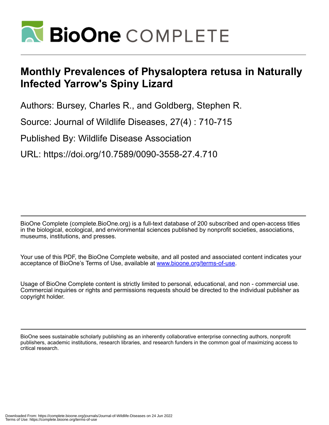

## **Monthly Prevalences of Physaloptera retusa in Naturally Infected Yarrow's Spiny Lizard**

Authors: Bursey, Charles R., and Goldberg, Stephen R.

Source: Journal of Wildlife Diseases, 27(4) : 710-715

Published By: Wildlife Disease Association

URL: https://doi.org/10.7589/0090-3558-27.4.710

BioOne Complete (complete.BioOne.org) is a full-text database of 200 subscribed and open-access titles in the biological, ecological, and environmental sciences published by nonprofit societies, associations, museums, institutions, and presses.

Your use of this PDF, the BioOne Complete website, and all posted and associated content indicates your acceptance of BioOne's Terms of Use, available at www.bioone.org/terms-of-use.

Usage of BioOne Complete content is strictly limited to personal, educational, and non - commercial use. Commercial inquiries or rights and permissions requests should be directed to the individual publisher as copyright holder.

BioOne sees sustainable scholarly publishing as an inherently collaborative enterprise connecting authors, nonprofit publishers, academic institutions, research libraries, and research funders in the common goal of maximizing access to critical research.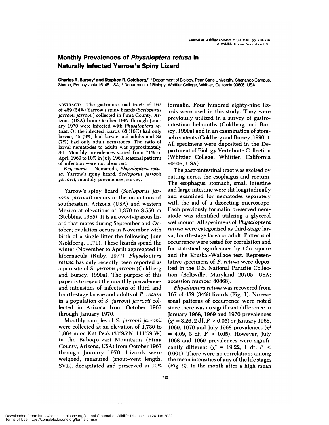## **Monthly Prevalences of Physaloptera retusa in Naturally Infected Yarrow's Spiny Lizard**

**Charles R. Bursey' and Stephen R. Goldberg,2** 'Department of Biology, Penn State University, Shenango Campus, Sharon, Pennsylvania 16146 USA; <sup>2</sup> Department of Biology, Whittier College, Whittier, California 90608, USA

**ABSTRACT:** The gastrointestinal tracts of 167 of 489 (34%) Yarrow's spiny lizards *(Sceloporus jarrovii jarrovii*) collected in Pima County, Arizona (USA) from October 1967 through Janu ary 1970 were infected with *Physaloptera retusa.* Of the infected lizards, 88 (18%) had only larvae, 45 (9%) had larvae and adults and 32 (7%) had only adult nematodes. The ratio of larval nematodes to adults was approximately 8:1. Monthly prevalences varied from 71% inApril 1969 to 10% in July 1969; seasonal patterns of infection were not observed.

*Key words:* Nematoda, *Physaloptera retu sa,* Yarrow's spiny lizard, *Sceloporus jarrov4i jarrovii,* monthly prevalences, survey.

Yarrow's spiny lizard *(Sceloporus jarrovii jarrovii)* occurs in the mountains of southeastern Arizona (USA) and western Mexico at elevations of 1 ,370 to 3,550 m (Stebbins, 1985). It is an ovoviviparous lizard that mates during September and Octoben; ovulation occurs in November with birth of a single litter the following June (Goldberg, 1971). These lizards spend the winter (November to April) aggregated in hibernacula (Ruby, 1977). *Physaloptera retusa* has only recently been reported as a parasite of *S. jarrovii jarrovii* (Goldberg and Bursey, 1990a). The purpose of this paper is to report the monthly prevalences and intensities of infections of third and fourth-stage larvae and adults of *P. retusa* in a population of *S. jarrovii jarrovii* collected in Arizona from October 1967 through January 1970.

Monthly samples of *S. jarrovii jarrovii* were collected at an elevation of 1,730 to 1,884 m on Kitt Peak (31°95'N, 111°59'W) in the Baboquivari Mountains (Pima County, Arizona, USA) from October 1967 through January 1970. Lizards were weighed, measured (snout-vent length, SVL), decapitated and preserved in 10%

formalin. Four hundred eighty-nine lizards were used in this study. They were previously utilized in a survey of gastrointestinal helminths (Goldberg and Bursey, 1990a) and in an examination of stomach contents (Goldberg and Bursey, 1990b). All specimens were deposited in the Department of Biology Vertebrate Collection (Whittier College, Whittier, California 90608, USA).

The gastrointestinal tract was excised by cutting across the esophagus and rectum. The esophagus, stomach, small intestine and large intestine were slit longitudinally and examined for nematodes separately with the aid of a dissecting microscope. Each previously formalin preserved nem atode was identified utilizing a glycerol wet mount. All specimens of *Physaloptera retusa* were categorized as third-stage larva, fourth-stage larva or adult. Patterns of occurrence were tested for correlation and for statistical significance by Chi square and the Kruskal-Wallace test. Representative specimens of *P. retusa* were deposited in the U.S. National Parasite Collection (Beltsville, Maryland 20705, USA; accession number 80868).

*Physaloptera retusa* was recovered from 167 of 489 (34%) lizards (Fig. 1). No sea sonal patterns of occurrence were noted since there was no significant difference in January 1968, 1969 and 1970 prevalences  $(x^2 = 3.26, 2 \text{ df}, P > 0.05)$  or January 1968, 1969, 1970 and July 1968 prevalences  $(x^2)$ *<sup>=</sup>* 4.09, 3 df, *P* <sup>&</sup>gt; 0.05). However, July 1968 and 1969 prevalences were significantly different  $(x^2 = 19.22, 1 \text{ df}, P <$ 0.001). There were no correlations among the mean intensities of any of the life stages (Fig. 2). In the month after a high mean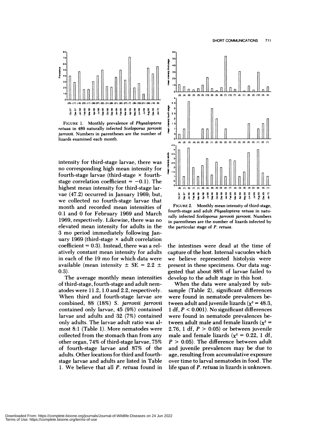

**FIGURE** 1. Monthly prevalence of *Physaloptera retusa* in 489 naturally infected *Sceloporus jarrovil jarrovil.* Numbers in parentheses are the number of lizards examined each month.

intensity for third-stage larvae, there was no corresponding high mean intensity for fourth-stage larvae (third-stage  $\times$  fourthstage correlation coefficient  $= -0.1$ ). The highest mean intensity for third-stage larvae (47.2) occurred in January 1969; but, we collected no fourth-stage larvae that month and recorded mean intensities of 0.1 and 0 for Febnuary 1969 and March 1969, respectively. Likewise, there was no elevated mean intensity for adults in the 3 mo period immediately following January 1969 (third-stage  $\times$  adult correlation coefficient  $= 0.3$ ). Instead, there was a relatively constant mean intensity for adults in each of the 19 mo for which data were available (mean intensity  $\pm$  SE = 2.2  $\pm$ 0.3).

The average monthly mean intensities of third-stage, fourth-stage and adult nem atodes were 11.2, 1.0 and 2.2, respectively. When third and fourth-stage larvae are combined, 88 (18%) *5. jarrovii jarrovii* contained only larvae, 45 (9%) contained larvae and adults and 32 (7%) contained only adults. The larvae adult ratio was almost 8:1 (Table 1). More nematodes were collected from the stomach than from any other organ, 74% of third-stage larvae, 75% of fourth-stage larvae and 87% of the adults. Other locations for third and fourthstage larvae and adults are listed in Table 1. We believe that all *P. retusa* found in



FIGURE 2. Monthly mean intensity of third-stage, fourth-stage and adult *Physaloptera retusa* in naturally infected *Sceloporus jarrovii jarrovil.* Numbers in parentheses are the number of lizards infected by the particular stage of *P. retusa.*

the intestines were dead at the time of capture of the host. Internal vacuoles which we believe represented histolysis were present in these specimens. Our data suggested that about 88% of larvae failed to develop to the adult stage in this host.

When the data were analyzed by subsample (Table 2), significant differences were found in nematode prevalences between adult and juvenile lizards ( $\chi^2$  = 48.3, 1 df, *P* <sup>&</sup>lt; 0.001). No significant differences were found in nematode prevalences between adult male and female lizards  $(x^2 =$ 2.76, 1 df,*P* <sup>&</sup>gt; 0.05) or between juvenile male and female lizards ( $\chi^2 = 0.22$ , 1 df, *P* <sup>&</sup>gt; 0.05). The difference between adult and juvenile prevalences may be due to age, resulting from accumulative exposure over time to larval nematodes in food. The life span of *P. retusa* in lizards is unknown.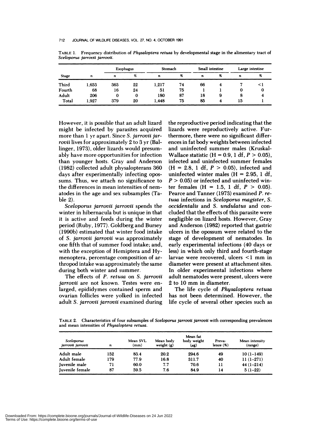| <b>Stage</b> | n     | Esophagus |      | Stomach |    | Small intestine |   | Large intestine  |    |
|--------------|-------|-----------|------|---------|----|-----------------|---|------------------|----|
|              |       | n         | $\%$ | n       | %  | n               | % | $\boldsymbol{n}$ | %  |
| Third        | 1,653 | 363       | 22   | 1,217   | 74 | 66              | 4 |                  | <1 |
| Fourth       | 68    | 16        | 24   | 51      | 75 |                 |   | 0                | 0  |
| Adult        | 206   | 0         | 0    | 180     | 87 | 18              | 9 | 8                |    |
| Total        | 1.927 | 379       | 20   | 1.448   | 75 | 85              | 4 | 15               |    |

**TABLE** 1. **Frequency distribution of** *Physaloptera retusa* by developmental stage in the alimentary tract of *Sceloporus jarrovii jarrovli.*

However, it is possible that an adult lizard might be infected by parasites acquired more than 1 yr apart. Since *S. jarrovii jarrovii* lives for approximately 2 to 3 yr (Ballinger, 1973), older lizards would presumably have more opportunities for infection than younger hosts. Gray and Anderson (1982) collected adult physalopterans 360 days after experimentally infecting opos sums. Thus, we attach no significance to the differences in mean intensities of nem atodes in the age and sex subsamples (Table 2).

*Sceloporus jarrovii jarrovii* spends the winter in hibernacula but is unique in that it is active and feeds during the winter period (Ruby, 1977). Goldberg and Bursey (1990b) estimated that winter food intake of *S. jarrovii jarrovii* was approximately one fifth that of summer food intake; and, with the exception of Hemiptera and Hymenoptera, percentage composition of anthropod intake was approximately the same during both winter and summer.

The effects of *P. retusa* on *S. jarrovii jarrovii* are not known. Testes were enlanged, epididymes contained sperm and ovarian follicles were yolked in infected adult *S. jarrovii jarrovii* examined during the reproductive period indicating that the lizards were reproductively active. Furthermore, there were no significant differ ences in fat body weights between infected and uninfected summer males (Kruskal-Wallace statistic  $(H = 0.9, 1 df, P > 0.05)$ , infected and uninfected summer females (H *<sup>=</sup>* 2.8, 1 df, *P* <sup>&</sup>gt; 0.05), infected and uninfected winter males  $(H = 2.95, 1 df,$  $P > 0.05$ ) or infected and uninfected winter females  $(H = 1.5, 1 df, P > 0.05)$ . Pearce and Tanner (1973) examined *P. retusa* infections in *Sceloporus magister, S. occidentalis* and *S. undulatus* and con cluded that the effects of this parasite were negligible on lizard hosts. However, Gray and Anderson (1982) reported that gastric ulcers in the opossum were related to the stage of development of nematodes. In early experimental infections (40 days or less) in which only third and fourth-stage larvae were recovered, ulcers <sup>&</sup>lt; 1 mm in diameter were present at attachment sites. In older experimental infections where adult nematodes were present, ulcers were 2 to 10 mm in diameter.

The life cycle of *Physaloptera retusa* has not been determined. However, the life cycle of several other species such as

TABLE 2. Characteristics of four subsamples of *Sceloporus jarrovil jarrovil* with corresponding prevalences and mean intensities of *Physaloptera retusa.*

| Sceloporus<br>jarrovii jarrovii | n   | Mean SVL<br>(mm) | Mean body<br>weight $(g)$ | Mean fat<br>body weight<br>(µg) | Preva-<br>lence $(%)$ | Mean intensity<br>(range) |
|---------------------------------|-----|------------------|---------------------------|---------------------------------|-----------------------|---------------------------|
| Adult male                      | 152 | 83.4             | 20.2                      | 294.6                           | 49                    | $10(1-149)$               |
| Adult female                    | 179 | 77.9             | 16.8                      | 311.7                           | 40                    | $11(1-271)$               |
| Juvenile male                   | 71  | 60.0             | 7.7                       | 70.6                            | 11                    | $44(1-214)$               |
| Iuvenile female                 | 87  | 59.5             | 7.6                       | 84.9                            | 14                    | $5(1-22)$                 |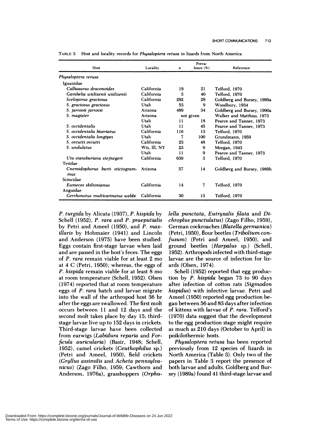| Host                                   | Locality     | $\boldsymbol{n}$ | Preva-<br>lence $(\%)$ | Reference                  |  |
|----------------------------------------|--------------|------------------|------------------------|----------------------------|--|
| Physaloptera retusa                    |              |                  |                        |                            |  |
| Iguanidae                              |              |                  |                        |                            |  |
| Callisaurus draconoides                | California   | 19               | 21                     | <b>Telford, 1970</b>       |  |
| Gambelia wislizenii wislizenii         | California   | 5                | 40                     | <b>Telford. 1970</b>       |  |
| Sceloporus graciosus                   | California   | 292              | 28                     | Goldberg and Bursey, 1989a |  |
| S. graciosus graciosus                 | Utah         | 53               | 9                      | Woodbury, 1934             |  |
| S. jarrovii jarrovii                   | Arizona      | 489              | 34                     | Goldberg and Bursey, 1990a |  |
| S. magister                            | Arizona      | not given        |                        | Walker and Matthias, 1973  |  |
|                                        | Utah         | 11               | 18                     | Pearce and Tanner, 1973    |  |
| S. occidentalis                        | Utah         | 11               | 45                     | Pearce and Tanner, 1973    |  |
| S. occidentalis biseriatus             | California   | 116              | 13                     | Telford, 1970              |  |
| S. occidentalis longipes               | Utah         |                  | 100                    | Grundmann, 1959            |  |
| S. orcutti orcutti                     | California   | 23               | 48                     | Telford, 1970              |  |
| S. undulatus                           | Wis, Ill, NY | 23               | 9                      | Morgan, 1943               |  |
|                                        | Utah         | $\mathbf{1}$     | 9                      | Pearce and Tanner, 1973    |  |
| Uta stansburiana stejnegeri            | California   | 639              | 3                      | Telford, 1970              |  |
| Teiidae                                |              |                  |                        |                            |  |
| Cnemidophorus burti stictogram-<br>mus | Arizona      | 57               | 14                     | Goldberg and Bursey, 1989b |  |
| Scincidae                              |              |                  |                        |                            |  |
| Eumeces skiltonianus                   | California   | 14               | 7                      | Telford, 1970              |  |
| Anguidae                               |              |                  |                        |                            |  |
| Gerrhonotus multicarinatus webbi       | California   | 30               | 13                     | Telford, 1970              |  |

**TABLE** 3. Host and locality records for *Physaloptera retusa* in lizards from North America.

*P. turgida* by Alicata (1937), *P. hispida* by Schell (1952), *P. rara* and *P. praeputialis* by Petni and Ameel (1950), and *P. maxillaris* by Hobmaier (1941) and Lincoln and Anderson (1975) have been studied. Eggs contain first-stage larvae when laid and are passed in the host's feces. The eggs of *P. rara* remain viable for at least 2 mo at 4 C (Petri, 1950); whereas, the eggs of *P. hispida* remain viable for at least 8 mo at room temperature (Schel!, 1952). Olsen (1974) reported that at room temperature eggs of *P. rara* hatch and larvae migrate into the wall of the arthropod host 36 hr after the eggs are swallowed. The first molt occurs between 11 and 12 days and the second molt takes place by day 15; thirdstage larvae live up to 152 days in crickets. Third-stage larvae have been collected from earwigs *(Labidura reparia* and *Forficula auricularia*) (Basir, 1948; Schell, 1952), camel crickets *(Ceuthophilus* sp.) (Petri and Ameel, 1950), field crickets *(Gryllus assimilis* and *Acheta pennsylvanicus)* (Zago Filho, 1959; Cawthonn and Anderson, 1976a), grasshoppers *(Orphu-* *lella punctata, Eutryxalis filata* and *Dichroplus punctulatus*) (Zago Filho, 1959), German cockroaches *(Blatella germanica)* (Petni, 1950), flour beetles *(Tribolium confusum)* (Petri and Ameel, 1950), and ground beetles *(Harpalus* sp.) (Schell, 1952). Arthropods infected with third-stage larvae are the source of infection for lizards (Olsen, 1974).

Schell (1952) reported that egg production by *P. hispida* began 73 to 90 days after infection of cotton rats *(Sigmodon hispidus)* with infective larvae. Petri and Ameel (1950) reported egg production began between 56 and 83 days after infection of kittens with larvae of *P. rara.* Telfond's (1970) data suggest that the development to the egg production stage might require as much as 210 days (October to April) in poikilothermic hosts.

*Physaloptera retusa* has been reported previously from 12 species of lizards in North America (Table 3). Only two of the papers in Table 3 report the presence of both larvae and adults. Goldberg and Bunsey (1989a) found 41 third-stage larvae and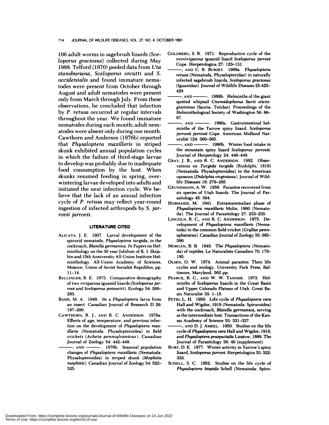## 714 JOURNAL OF WILDLIFE DISEASES, VOL. 27, NO. 4, OCTOBER 1991

106 adult worms in sagebrush lizards *(Sceloporus graciosus)* collected during May 1988. Telford (1970) pooled data from *Uta stansburiana, Sceloporus orcutti* and *S. occidentalis* and found immature nematodes were present from October through August and adult nematodes were present only from March through July. From these observations, he concluded that infection by *P. retusa* occurred at regular intervals throughout the year. We found immature nematodes during each month; adult nem atodes were absent only during one month. Cawthorn and Anderson (1976b) reported that *Physaloptera maxillaris* in striped skunk exhibited annual population cycles in which the failure of third-stage larvae to develop was probably due to inadequate food consumption by the host. When skunks resumed feeding in spring, over wintering larvae developed into adults and initiated the next infection cycle. We believe that the lack of an annual infection cycle of *P. retusa* may reflect year-round ingestion of infected arthnopods by *S. jarrovii jarrovii.*

## **LITERATURE CITED**

- ALICATA, J. E. 1937. Larval development of the spirurid nematode, *Physaloptera turgida,* in the **cockroach,** *Blatella gerinanlca. in* Papers on Helminthology on the 30 year Jubilum of K. I. Skrjabin and 15th Anniversity All-Union Institute Helminthology. All-Union Academy of Sciences, Moscow, Union of Soviet Socialist Republics, pp. 11-14.
- **BALLINGER,** R. E. 1973. Comparative demography of two viviparous iguanid lizards *(Sceloporus jarrovi* and *Sceloporus poinsetti).* Ecology 54: 269- 283.
- BASIR, M. A. 1948. On a *Physaloptera* larva from an insect. Canadian Journal of Research D 26: 197-200.
- CAWTHORN, R. J., AND R. C. ANDERSON. 1976a. Effects of age, temperature, and previous infec**tion on** the development of *Physaloptera max-Illaris* (Nematoda: Physalopteroidea) in field **crickets** *(Acheta pennsylvanicus).* Canadian Journal of Zoology 54: 442-448.
- AND 1976b. Seasonal population changes of *Physaloptera maxillaris* (Nematoda: Physalopteroidea) in striped **skunk** *(Mephitis mephitis).* Canadian Journal of Zoology 54: 522- 525.
- GOLDBERG, S. R. 1971. Reproductive cycle of the ovoviviparous iguanid lizard *Sceloporus jarrovi* Cope. Herpetologica 27: 12&-131.
	- *,* **AND** C. R. BURSEY. 1989a. *Physalopt era retusa* (Nematoda, Physalopteridae) in naturally infected sagebrush lizards, *Sceloporus graclosus* (Iguanidae). Journal of Wildlife Diseases 25:425- 429.
	- *,* **AND** . 1989b. Helminths of the giant spotted whiptail *Cnemldophorus burti sticto grammus* (Sauna: Teiidae). Proceedings of the Helminthological Society of Washington 56: 86- 87.
- AND --------. 1990a. Gastrointestinal helminths of the Yarrow spiny lizard, *Sceloporus jarrovii jarrovil* Cope. American Midland Nat uralist 124: 360-365.
- *,* **AND** . 1990b. Winter food intake in the mountain spiny lizard *Sceloporus jarrovii.* Journal of Herpetology 24: 446-448.
- GRAY, J. B., AND R. C. ANDERSON. 1982. Obser vations on *Turgida turgida* (Rudolphi, 1819) (Nematoda: Physalopteroidea) in the American opossum *(Didelphls virginiana).* Journal of Wildlife Diseases 18: 279-285.
- GRUNDMANN, A. W. 1959. Parasites recovered from six species of Utah lizards. The Journal of Parasitology 45: 394.
- HOBMAIER, M. 1941. Extramammalian phase of *Physaloptera maxillaris* Molin, 1860 (Nematoda). The Journal of Parasitology 27: 233-235.
- **LINCOLN,** R. C. *,* **AND** R. C. ANDERSON. 1975. De velopment of *Physaloptera maxillaris* (Nematoda) in the common field cricket *(Gryllus penn sylvanicus).* Canadian Journal of Zoology 53: 385- 390.
- MORGAN, B. B. 1943. The *Physaloptera* (Nematoda) of reptiles. Le Naturaliste Canadien 70: 179- 185.
- OLSEN, 0. W. 1974. Animal parasites: Their life cycles and ecology. University Park Press, Baltimore, Maryland, 562 pp.
- PEARCE, R. C., **AND** W.W. TANNER. 1973. Helminths of *Sceloporus* lizards in the Great Basin and Upper Colorado Plateau of Utah. Great Basin Naturalist 33: 1-18.
- PETRI, L. H. 1950. Life cycle of *Physaloptera rara* Hall and Wigdor, 1918 (Nematoda: Spiruroidea) with the cockroach, *Blatella germanica,* serving as the intermediate host. Transactions of the Kan sas Academy of Science 53: 331-337.
- **AND** D. J. AMEEL. 1950. Studies on the life cycle of *Physaloptera rara* Hall and Wigdor, 1918, and *Physaloptera praeputialis* Linstow, 1889. The Journal of Parasitology 36: 40 (supplement).
- RUBY, D. E. 1977. Winter activity in Yarrow's spiny lizard, *Sceloporus jarrovi.* Herpetologica 33:322- 333.
- SCHELL, S. C. 1952. Studies on the life cycle of Physaloptera *hispida* Schell (Nematoda: Spiru-